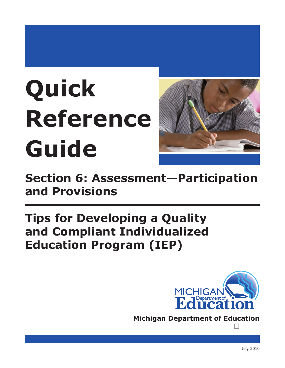# Quick **Reference** Guide



**Section 6: Assessment-Participation** and Provisions

## **Tips for Developing a Quality** and Compliant Individualized **Education Program (IEP)**



**Michigan Department of Education**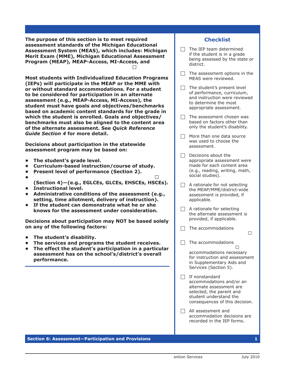The purpose of this section is to meet required assessment standards of the Michigan Educational Assessment System (MEAS), which includes: Michigan Merit Exam (MME), Michigan Educational Assessment Program (MEAP), MEAP-Access, MI-Access, and

**Most students with Individualized Education Programs** (IEPs) will participate in the MEAP or the MME with or without standard accommodations. For a student to be considered for participation in an alternate assessment (e.g., MEAP-Access, MI-Access), the student must have goals and objectives/benchmarks based on academic content standards for the grade in which the student is enrolled. Goals and objectives/ benchmarks must also be aligned to the content area of the alternate assessment. See Quick Reference **Guide Section 4 for more detail.** 

Decisions about participation in the statewide assessment program may be based on:

- The student's grade level.
- Curriculum-based instruction/course of study.
- Present level of performance (Section 2).
- - (Section 4)-(e.g., EGLCEs, GLCEs, EHSCEs, HSCEs).
- Instructional level.
- Administrative conditions of the assessment (e.g., setting, time allotment, delivery of instruction).
- If the student can demonstrate what he or she knows for the assessment under consideration.

Decisions about participation may NOT be based solely on any of the following factors:

- The student's disability.
- The services and programs the student receives.
- The effect the student's participation in a particular assessment has on the school's/district's overall performance.

### **Checklist**

- The IEP team determined П. if the student is in a grade being assessed by the state or district.
- $\Box$  The assessment options in the MEAS were reviewed.
- $\Box$  The student's present level of performance, curriculum, and instruction were reviewed to determine the most appropriate assessment.
- $\Box$  The assessment chosen was based on factors other than only the student's disability.
- $\Box$  More than one data source was used to choose the assessment.
- $\Box$  Decisions about the appropriate assessment were made for each content area (e.g., reading, writing, math, social studies).
- $\Box$  A rationale for not selecting the MEAP/MME/district-wide assessment is provided, if applicable.
- $\Box$  A rationale for selecting the alternate assessment is provided, if applicable.
- $\Box$  The accommodations
- $\Box$  The accommodations

accommodations necessary for instruction and assessment in Supplementary Aids and Services (Section 5).

- $\Box$  If nonstandard accommodations and/or an alternate assessment are selected, the parent and student understand the consequences of this decision.
- $\Box$  All assessment and accommodation decisions are recorded in the IEP forms.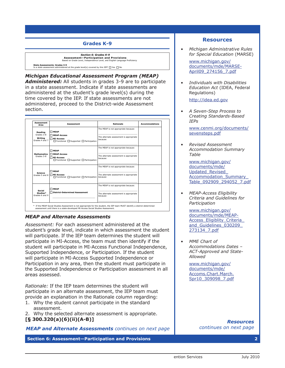#### **Grades K-9**

*Section 6: Grades K-9* **Assessment—Participation and Provisions** Based on Grade Level, Independence Level, and English Language Proficiency **State Assessments: Grades 3-9**<br>Is a state assessment administered at the grade level(s) covered by this IEP? □ Yes □ No

Michigan Educational Assessment Program (MEAP) Administered: All students in grades 3-9 are to participate in a state assessment. Indicate if state assessments are administered at the student's grade level(s) during the **Area Assessment Rationale Accommodations** administered, proceed to the District-wide Assessment section. Grades 4 and 7 time covered by the IEP. If state assessments are not *Section 6: Grades K-9* **State Assessments: Grades 3-9** determines that the student must take an alternate assessment (MEAP-Access, MI-Access, or a district-determined social studies assessment) instead of a particular MEAP assessment, complete the Rationale column.

Identify any individual appropriate **accommodations** that are necessary on these state assessments. See the *Revised*

 $\mathcal{L}_\text{max}$  and  $\mathcal{L}_\text{max}$  and  $\mathcal{L}_\text{max}$  and  $\mathcal{L}_\text{max}$ 

| Assessment<br>Area                   | <b>Assessment</b>                                                                    | <b>Rationale</b>                                    | <b>Accommodations</b> |
|--------------------------------------|--------------------------------------------------------------------------------------|-----------------------------------------------------|-----------------------|
| Reading<br>Grades 3-8                | <b>NEAP</b>                                                                          | The MEAP is not appropriate because:                |                       |
| Writing<br>Grades 4 and 7            | MEAP-Access<br>MI-Access:<br>$\Box$ Functional $\Box$ Supported $\Box$ Participation | The alternate assessment is appropriate<br>because: |                       |
|                                      | <b>NEAP</b>                                                                          | The MEAP is not appropriate because:                |                       |
| <b>Mathematics</b><br>Grades 3-8     | MEAP-Access<br>MI-Access:<br>$\Box$ Functional $\Box$ Supported $\Box$ Participation | The alternate assessment is appropriate<br>because: |                       |
|                                      |                                                                                      | The MEAP is not appropriate because:                |                       |
| <b>Science</b><br>Grades 5 and 8     | <b>NEAP</b><br>MI-Access:<br>$\Box$ Functional $\Box$ Supported $\Box$ Participation | The alternate assessment is appropriate<br>because: |                       |
|                                      | <b>NEAP</b>                                                                          | The MEAP is not appropriate because:                |                       |
| Social<br>Studies*<br>Grades 6 and 9 | District-Determined Assessment                                                       | The alternate assessment is appropriate<br>because: |                       |
|                                      |                                                                                      |                                                     |                       |

#### Michigan Department of Education, Office of Special Education and Early Intervention Services **"District-wide assessments: Grades K-9" on next page** *MEAP and Alternate Assessments*

student will participate in MI-Access Functional Independence, *Assessment:* For each assessment administered at the student's grade level, indicate in which assessment the student will participate. If the IEP team determines the student will participate in MI-Access, the team must then identify if the Supported Independence, or Participation. If the student will participate in MI-Access Supported Independence or Participation in any area, then the student must participate in the Supported Independence or Participation assessment in all areas assessed.

*Rationale:* If the IEP team determines the student will participate in an alternate assessment, the IEP team must provide an explanation in the Rationale column regarding:

- 1. Why the student cannot participate in the standard assessment.
- 2. Why the selected alternate assessment is appropriate.
- **[§ 300.320(a)(6)(ii)(A-B)]**

#### *MEAP and Alternate Assessments continues on next page*

**Section 6: Assessment—Participation and Provisions 2**

#### **Resources**

*• Michigan Administrative Rules for Special Education* (MARSE)

[www.michigan.gov/](http://www.michigan.gov/documents/mde/MARSE-April09_274156_7.pdf) [documents/mde/MARSE-](http://www.michigan.gov/documents/mde/MARSE-April09_274156_7.pdf)[April09\\_274156\\_7.pdf](http://www.michigan.gov/documents/mde/MARSE-April09_274156_7.pdf)

*• Individuals with Disabilities Education Act* (IDEA, Federal Regulations)

[http://idea.ed.gov](http://idea.ed.gov/explore/view/p/%2Croot%2Cregs%2C)

*• A Seven-Step Process to Creating Standards-Based IEPs*

[www.cenmi.org/documents/](www.cenmi.org/documents/sevensteps.pdf) [sevensteps.pdf](www.cenmi.org/documents/sevensteps.pdf)

*• Revised Assessment Accommodation Summary Table*

[www.michigan.gov/](www.michigan.gov/documents/mde/Updated_Revised_Accommodation_Summary_Table_092909_294052_7.pdf) [documents/mde/](www.michigan.gov/documents/mde/Updated_Revised_Accommodation_Summary_Table_092909_294052_7.pdf) [Updated\\_Revised\\_](www.michigan.gov/documents/mde/Updated_Revised_Accommodation_Summary_Table_092909_294052_7.pdf) [Accommodation\\_Summary\\_](www.michigan.gov/documents/mde/Updated_Revised_Accommodation_Summary_Table_092909_294052_7.pdf) [Table\\_092909\\_294052\\_7.pdf](www.michigan.gov/documents/mde/Updated_Revised_Accommodation_Summary_Table_092909_294052_7.pdf)

*• MEAP-Access Eligibility Criteria and Guidelines for Participation*

[www.michigan.gov/](http://www.michigan.gov/documents/mde/MEAP-Access_Eligiblity_Criteria_and_Guidelines_030209_273134_7.pdf) [documents/mde/MEAP-](http://www.michigan.gov/documents/mde/MEAP-Access_Eligiblity_Criteria_and_Guidelines_030209_273134_7.pdf)[Access\\_Eligiblity\\_Criteria\\_](http://www.michigan.gov/documents/mde/MEAP-Access_Eligiblity_Criteria_and_Guidelines_030209_273134_7.pdf) [and\\_Guidelines\\_030209\\_](http://www.michigan.gov/documents/mde/MEAP-Access_Eligiblity_Criteria_and_Guidelines_030209_273134_7.pdf) [273134\\_7.pdf](http://www.michigan.gov/documents/mde/MEAP-Access_Eligiblity_Criteria_and_Guidelines_030209_273134_7.pdf)

*• MME Chart of Accommodations Dates* – *ACT-Approved and State-Allowed*

[www.michigan.gov/](www.michigan.gov/documents/mde/Accoms.Chart.March.Spr10_309098_7.pdf) [documents/mde/](www.michigan.gov/documents/mde/Accoms.Chart.March.Spr10_309098_7.pdf) [Accoms.Chart.March.](www.michigan.gov/documents/mde/Accoms.Chart.March.Spr10_309098_7.pdf) [Spr10\\_309098\\_7.pdf](www.michigan.gov/documents/mde/Accoms.Chart.March.Spr10_309098_7.pdf)

> *Resources continues on next page*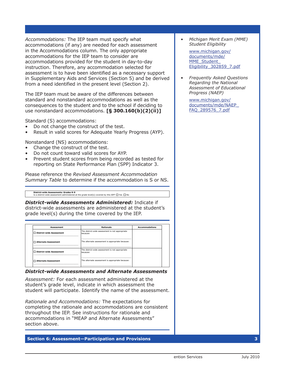*Accommodations:* The IEP team must specify what accommodations (if any) are needed for each assessment in the Accommodations column. The only appropriate accommodations for the IEP team to consider are accommodations provided for the student in day-to-day instruction. Therefore, any accommodation selected for assessment is to have been identified as a necessary support in Supplementary Aids and Services (Section 5) and be derived from a need identified in the present level (Section 2).

The IEP team must be aware of the differences between standard and nonstandard accommodations as well as the consequences to the student and to the school if deciding to use nonstandard accommodations. **[§ 300.160(b)(2)(ii)]**

Standard (S) accommodations:

**District-wide Assessment**

- Do not change the construct of the test.
- Result in valid scores for Adequate Yearly Progress (AYP).

Nonstandard (NS) accommodations:

- Change the construct of the test.
- Do not count toward valid scores for AYP.
- Prevent student scores from being recorded as tested for reporting on State Performance Plan (SPP) Indicator 3.

Please reference the *Revised Assessment Accommodation Summary Table* to determine if the accommodation is S or NS.

**District-wide Assessments: Grades K-9**<br>Is a district-wide assessment administered at the grade level(s) covered by this IEP? □ Yes □ No

because:

**District-wide Assessments Administered: Indicate if** district-wide assessments are administered at the student's grade level(s) during the time covered by the IEP.

| <b>Assessment</b>               | <b>Rationale</b>                                            | <b>Accommodations</b> |
|---------------------------------|-------------------------------------------------------------|-----------------------|
| <b>District-wide Assessment</b> | The district-wide assessment is not appropriate<br>hecause: |                       |
| Alternate Assessment            | The alternate assessment is appropriate because:            |                       |
| District-wide Assessment        | The district-wide assessment is not appropriate<br>hecause: |                       |
| Alternate Assessment            | The alternate assessment is appropriate because:            |                       |

#### trict-wide Assessments and Alternate **District-wide Assessments and Alternate Assessments**

SSM*ent.* Fi student's grade level, indicate in which assessment the Assessment: For each assessment administered at the student will participate. Identify the name of the assessment.

*Rationale and Accommodations:* The expectations for completing the rationale and accommodations are consistent throughout the IEP. See instructions for rationale and accommodations in "MEAP and Alternate Assessments" section above.

Michigan Department of Education, Office of  $E$  Special Education and Early Intervention  $S$ 

**Section 6: Assessment—Participation and Provisions 3**

*• Michigan Merit Exam (MME) Student Eligibility*

[www.michigan.gov/](www.michigan.gov/documents/mde/MME_Student_Eligibility_302859_7.pdf) [documents/mde/](www.michigan.gov/documents/mde/MME_Student_Eligibility_302859_7.pdf) [MME\\_Student\\_](www.michigan.gov/documents/mde/MME_Student_Eligibility_302859_7.pdf) [Eligibility\\_302859\\_7.pdf](www.michigan.gov/documents/mde/MME_Student_Eligibility_302859_7.pdf)

*• Frequently Asked Questions Regarding the National Assessment of Educational Progress (NAEP)*

> [www.michigan.gov/](www.michigan.gov/documents/mde/NAEP_FAQ_289576_7.pdf) [documents/mde/NAEP\\_](www.michigan.gov/documents/mde/NAEP_FAQ_289576_7.pdf) [FAQ\\_289576\\_7.pdf](www.michigan.gov/documents/mde/NAEP_FAQ_289576_7.pdf)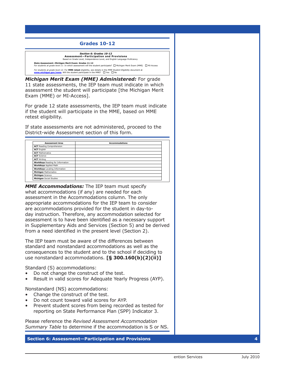#### **Grades 10-12**



Michigan Merit Exam (MME) Administered: For grade **www.michigan.gov/mme.** 11 state assessments, the IEP team must indicate in which assessment the student will participate [the Michigan Merit Exam (MME) or MI-Access].

For grade 12 state assessments, the IEP team must indicate if the student will participate in the MME, based on MME retest eligibility.

If state assessments are not administered, proceed to the District-wide Assessment section of this form. are necessary on these state assessments. See the *MME Chart of Accommodations Dates – ACT-Approved and State-Allowed* at

| <b>Accommodations</b> |
|-----------------------|
|                       |
|                       |
|                       |
|                       |
|                       |
|                       |
|                       |
|                       |
|                       |
|                       |
|                       |

day instruction. Therefore, any accommodation selected for ssment is to have been identified as a necessary supp MME Accommodations: The IEP team must specify what accommodations (if any) are needed for each assessment in the Accommodations column. The only assessment until there is a state-developed MI-Access Social Studies Assessment. are accommodations provided for the student in day-toappropriate accommodations for the IEP team to consider  $P$  are a set of  $P$  and  $P$  are  $P$  and  $P$ assessment is to have been identified as a necessary support a nei  ${\rm Her}$  ified in the present level (Sec in Supplementary Aids and Services (Section 5) and be derived from a need identified in the present level (Section 2).

The IEP team must be aware of the differences between standard and nonstandard accommodations as well as the consequences to the student and to the school if deciding to use nonstandard accommodations. **[§ 300.160(b)(2)(ii)]** 

Standard (S) accommodations:

- Do not change the construct of the test.
- Result in valid scores for Adequate Yearly Progress (AYP).

Nonstandard (NS) accommodations:

- Change the construct of the test.
- Do not count toward valid scores for AYP.
- Prevent student scores from being recorded as tested for reporting on State Performance Plan (SPP) Indicator 3.

Please reference the *Revised Assessment Accommodation Summary Table* to determine if the accommodation is S or NS.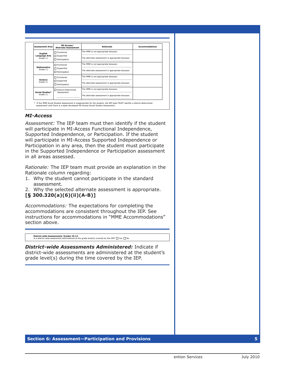| <b>Assessment Area</b>           | MI-Access/<br><b>Alternate Assessment</b> | Rationale                                        | <b>Accommodations</b> |
|----------------------------------|-------------------------------------------|--------------------------------------------------|-----------------------|
| Enalish                          | $\Box$ Functional                         | The MME is not appropriate because:              |                       |
| <b>Language Arts</b><br>Grade 11 | Supported<br>$\Box$ Participation         | The alternate assessment is appropriate because: |                       |
|                                  | $\Box$ Functional                         | The MME is not appropriate because:              |                       |
| <b>Mathematics</b><br>Grade 11   | Supported<br>$\Box$ Participation         | The alternate assessment is appropriate because: |                       |
|                                  | $\Box$ Functional                         | The MME is not appropriate because:              |                       |
| Science<br>Grade 11              | $\Box$ Supported<br>$\Box$ Participation  | The alternate assessment is appropriate because: |                       |
| Social Studies*                  | □ District-Determined                     | The MME is not appropriate because:              |                       |
| Grade 11                         | Assessment                                | The alternate assessment is appropriate because: |                       |

will participate and complete the Rationale column. Identify any individual appropriate **accommodations** that are necessary on

#### *MI-Access*

**Michigan** Science

**State Assessment—MI-Access: Grade 11**

Assessment: The IEP team must then identify if the student will participate in MI-Access Functional Independence, Supported Independence, or Participation. If the student will participate in MI-Access Supported Independence or Participation in any area, then the student must participate in the Supported Independence or Participation assessment in all areas assessed.

*Rationale:* The IEP team must provide an explanation in the Rationale column regarding:

- 1. Why the student cannot participate in the standard assessment.
- 2. Why the selected alternate assessment is appropriate.

#### **[§ 300.320(a)(6)(ii)(A-B)]**

 $\mathcal{L}_\text{max}$  and  $\mathcal{L}_\text{max}$  and  $\mathcal{L}_\text{max}$  are the set of  $\mathcal{L}_\text{max}$ 

*Accommodations:* The expectations for completing the accommodations are consistent throughout the IEP. See instructions for accommodations in "MME Accommodations" section above.

**District-wide Assessments: Grades 10-12**<br>Is a district-wide assessment administered at the grade level(s) covered by this IEP? □ Yes □ No

because:

District-wide Assessments Administered: Indicate if district-wide assessments are administered at the student's **Assessment Rationale Accommodations** grade level(s) during the time covered by the IEP. The district-wide assessment is not appropriate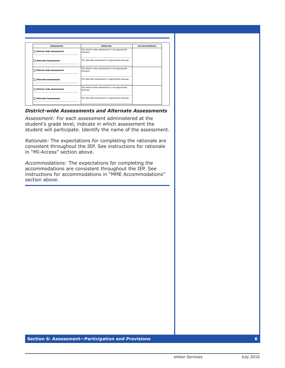| <b>Assessment</b>          | Rationale                                                   | <b>Accommodations</b> |
|----------------------------|-------------------------------------------------------------|-----------------------|
| □ District-wide Assessment | The district-wide assessment is not appropriate<br>hecause: |                       |
| Alternate Assessment       | The alternate assessment is appropriate because:            |                       |
| District-wide Assessment   | The district-wide assessment is not appropriate<br>hecause: |                       |
| □ Alternate Assessment     | The alternate assessment is appropriate because:            |                       |
| □ District-wide Assessment | The district-wide assessment is not appropriate<br>hecause: |                       |
| Alternate Assessment       | The alternate assessment is appropriate because:            |                       |

 $\mathbf{I}_{\text{max}}$  the IEP team determines that district-wide assessment is not appropriate and that the student must take and that the student must take and that the student must take and take and take and take and take and t

**District-wide Assessments: Grades 10-12**

#### *District-wide Assessments and Alternate Assessments*

*Assessment:* For each assessment administered at the student's grade level, indicate in which assessment the student will participate. Identify the name of the assessment.

*Rationale:* The expectations for completing the rationale are consistent throughout the IEP. See instructions for rationale in "MI-Access" section above.

*Accommodations:* The expectations for completing the accommodations are consistent throughout the IEP. See instructions for accommodations in "MME Accommodations" section above.

Michigan Department of  $\mathbb{R}^n$  Department of Special Education and Early Intervention Services  $\mathbb{R}^n$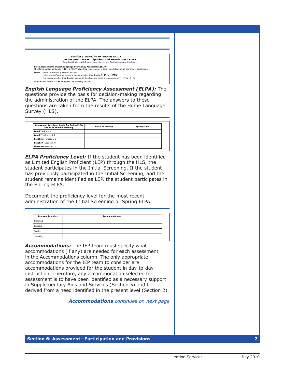*Section 6: ELPA/NAEP (Grades K-12)* **Assessment—Participation and Provisions: ELPA** Based on Grade Level, Independence Level, and English Language Proficiency

**State Assessment: English Language Proficiency Assessment (ELPA)**<br>The Home Language Survey (HLS), a Title VI reporting requirement, is given to all students at the time of enrollment. nsider these two questions annually: Is the student's native tongue a language other than English?  $\Box$  Yes  $\Box$  No<br>
Is a language other than English spoken in the student's home or environment?  $\Box$  Yes  $\Box$  No Is a language other than English spoken in the student's home or environment When either answer is **Yes**, complete the following section.

**English Language Proficiency Assessment (ELPA): The Level I—**Grade K questions provide the basis for decision-making regarding *Section 6: ELPA/NAEP (Grades K-12)* **Level II—**Grades 1-2 the administration of the ELPA. The answers to these questions are taken from the results of the Home Language .<br>Survey (HLS). For additional information regarding ELPA or the ELPA screener, or to identify any individual appropriate **accommodations** that  $\sum_{i=1}^{n}$ 

are necessary for each of the ELPA domains, see the *Revised Assessment Accommodation Summary Table* at

Is a language other than English spoken in the student's home or environment? Yes No

**www.michigan.gov/elpa.**

| Assessment Level and Grade for Spring ELPA<br>and ELPA Initial Screening | <b>Initial Screening</b> | <b>Spring ELPA</b> |  |
|--------------------------------------------------------------------------|--------------------------|--------------------|--|
| Level I-Grade K                                                          |                          |                    |  |
| Level II-Grades 1-2                                                      |                          |                    |  |
| Level III-Grades 3-5                                                     |                          |                    |  |
| Level IV-Grades 6-8                                                      |                          |                    |  |
| Level V-Grades 9-12                                                      |                          |                    |  |

**ELPA Proficiency Level:** If the student has been identified Is a NAEP assessment administered to the student's district at the grade level(s) covered by this IEP? Yes No as Limited English Proficient (LEP) through the HLS, the student participates in the Initial Screening. If the student has previously participated in the Initial Screening, and the the Spring ELPA. If **YES** and the content area, included and the accommodation and the the theory of the theory of the theory of the theory of the theory of the theory of the theory of the theory of the theory of the theory of the theory o **student remains identified as LEP, the student participates in State Assessment: English Language Proficiency Assessment (ELPA)**

Document the proficiency level for the most recent i uic Is a network as the studient and student at the student of the grade level (s) covered by the grade level by t administration of the Initial Screening or Spring ELPA. **Level IV—**Grades 6-8

are necessary for each of the ELPA domains, see the *Revised Assessment Accommodation Summary Table* at

*Summary Table* at **www.michigan.gov/naep.** Yes No

Yes No

| <b>Assessed Domains</b> | <b>Accommodations</b> |  |
|-------------------------|-----------------------|--|
| Listening               |                       |  |
| Reading                 |                       |  |
| Writing                 |                       |  |
| Speaking                |                       |  |

in the Accommodations column. The only appropriate **Accommodations:** The IEP team must specify what accommodations (if any) are needed for each assessment accommodations for the IEP team to consider are accommodations provided for the student in day-to-day assessment is to have been identified as a necessary support instruction. Therefore, any accommodation selected for in Supplementary Aids and Services (Section 5) and be derived from a need identified in the present level (Section 2).

*Accommodations continues on next page*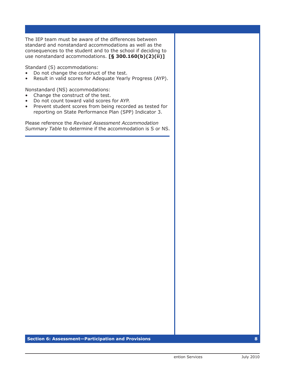The IEP team must be aware of the differences between standard and nonstandard accommodations as well as the consequences to the student and to the school if deciding to use nonstandard accommodations. [§ 300.160(b)(2)(ii)]

Standard (S) accommodations:

- Do not change the construct of the test.  $\bullet$
- Result in valid scores for Adequate Yearly Progress (AYP).

Nonstandard (NS) accommodations:

- Change the construct of the test.  $\bullet$
- Do not count toward valid scores for AYP.
- Prevent student scores from being recorded as tested for reporting on State Performance Plan (SPP) Indicator 3.

Please reference the Revised Assessment Accommodation Summary Table to determine if the accommodation is S or NS.

Section 6: Assessment-Participation and Provisions

8